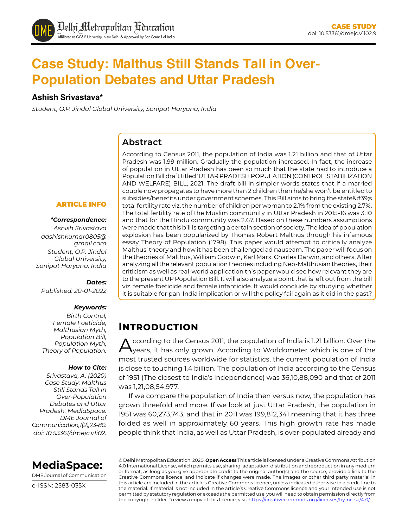# **Case Study: Malthus Still Stands Tall in Over-Population Debates and Uttar Pradesh**

#### **Ashish Srivastava\***

*Student, O.P. Jindal Global University, Sonipat Haryana, India*

#### **Abstract**

According to Census 2011, the population of India was 1.21 billion and that of Uttar Pradesh was 1.99 million. Gradually the population increased. In fact, the increase of population in Uttar Pradesh has been so much that the state had to introduce a Population Bill draft titled 'UTTAR PRADESH POPULATION (CONTROL, STABILIZATION AND WELFARE) BILL, 2021. The draft bill in simpler words states that if a married couple now propagates to have more than 2 children then he/she won't be entitled to subsidies/benefits under government schemes. This Bill aims to bring the state's total fertility rate viz. the number of children per woman to 2.1% from the existing 2.7%. The total fertility rate of the Muslim community in Uttar Pradesh in 2015-16 was 3.10 and that for the Hindu community was 2.67. Based on these numbers assumptions were made that this bill is targeting a certain section of society. The idea of population explosion has been popularized by Thomas Robert Malthus through his infamous essay Theory of Population (1798). This paper would attempt to critically analyze Malthus' theory and how it has been challenged ad nauseam. The paper will focus on the theories of Malthus, William Godwin, Karl Marx, Charles Darwin, and others. After analyzing all the relevant population theories including Neo-Malthusian theories, their criticism as well as real-world application this paper would see how relevant they are to the present UP Population Bill. It will also analyze a point that is left out from the bill viz. female foeticide and female infanticide. It would conclude by studying whether it is suitable for pan-India implication or will the policy fail again as it did in the past?

# **Introduction**

ccording to the Census 2011, the population of India is 1.21 billion. Over the years, it has only grown. According to Worldometer which is one of the most trusted sources worldwide for statistics, the current population of India is close to touching 1.4 billion. The population of India according to the Census of 1951 (The closest to India's independence) was 36,10,88,090 and that of 2011 was 1,21,08,54,977.

If we compare the population of India then versus now, the population has grown threefold and more. If we look at just Uttar Pradesh, the population in 1951 was 60,273,743, and that in 2011 was 199,812,341 meaning that it has three folded as well in approximately 60 years. This high growth rate has made people think that India, as well as Uttar Pradesh, is over-populated already and

#### ARTICLE INFO

#### *\*Correspondence:*

*Ashish Srivastava aashishkumar0805@ gmail.com Student, O.P. Jindal Global University, Sonipat Haryana, India*

#### *Dates:*

*Published: 20-01-2022*

#### *Keywords:*

*Birth Control, Female Foeticide, Malthusian Myth, Population Bill, Population Myth, Theory of Population.* 

#### *How to Cite:*

*Srivastava, A. (2020) Case Study: Malthus Still Stands Tall in Over-Population Debates and Uttar Pradesh. MediaSpace: DME Journal of Communication, 1(2), 73-80. doi: 10.53361/dmejc.v1i02.*



DME Journal of Communication

e-ISSN: 2583-035X

© Delhi Metropolitan Education, 2020. **Open Access** This article is licensed under a Creative Commons Attribution 4.0 International License, which permits use, sharing, adaptation, distribution and reproduction in any medium or format, as long as you give appropriate credit to the original author(s) and the source, provide a link to the Creative Commons licence, and indicate if changes were made. The images or other third party material in this article are included in the article's Creative Commons licence, unless indicated otherwise in a credit line to the material. If material is not included in the article's Creative Commons licence and your intended use is not permitted by statutory regulation or exceeds the permitted use, you will need to obtain permission directly from the copyright holder. To view a copy of this licence, visit https://creativecommons.org/licenses/by-nc-sa/4.0/.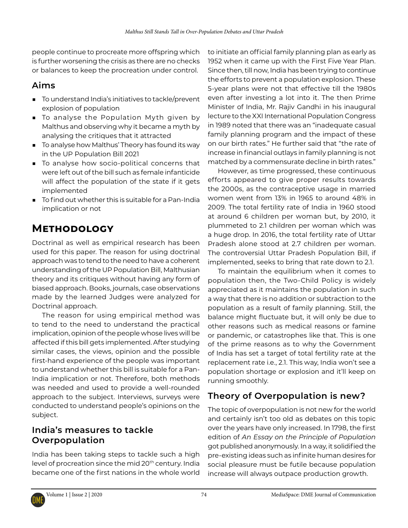people continue to procreate more offspring which is further worsening the crisis as there are no checks or balances to keep the procreation under control.

## **Aims**

- To understand India's initiatives to tackle/prevent explosion of population
- To analyse the Population Myth given by Malthus and observing why it became a myth by analysing the critiques that it attracted
- To analyse how Malthus' Theory has found its way in the UP Population Bill 2021
- To analyse how socio-political concerns that were left out of the bill such as female infanticide will affect the population of the state if it gets implemented
- To find out whether this is suitable for a Pan-India implication or not

# **Methodology**

Doctrinal as well as empirical research has been used for this paper. The reason for using doctrinal approach was to tend to the need to have a coherent understanding of the UP Population Bill, Malthusian theory and its critiques without having any form of biased approach. Books, journals, case observations made by the learned Judges were analyzed for Doctrinal approach.

The reason for using empirical method was to tend to the need to understand the practical implication, opinion of the people whose lives will be affected if this bill gets implemented. After studying similar cases, the views, opinion and the possible first-hand experience of the people was important to understand whether this bill is suitable for a Pan-India implication or not. Therefore, both methods was needed and used to provide a well-rounded approach to the subject. Interviews, surveys were conducted to understand people's opinions on the subject.

## **India's measures to tackle Overpopulation**

India has been taking steps to tackle such a high level of procreation since the mid 20<sup>th</sup> century. India became one of the first nations in the whole world

to initiate an official family planning plan as early as 1952 when it came up with the First Five Year Plan. Since then, till now, India has been trying to continue the efforts to prevent a population explosion. These 5-year plans were not that effective till the 1980s even after investing a lot into it. The then Prime Minister of India, Mr. Rajiv Gandhi in his inaugural lecture to the XXI International Population Congress in 1989 noted that there was an "inadequate casual family planning program and the impact of these on our birth rates." He further said that "the rate of increase in financial outlays in family planning is not matched by a commensurate decline in birth rates."

However, as time progressed, these continuous efforts appeared to give proper results towards the 2000s, as the contraceptive usage in married women went from 13% in 1965 to around 48% in 2009. The total fertility rate of India in 1960 stood at around 6 children per woman but, by 2010, it plummeted to 2.1 children per woman which was a huge drop. In 2016, the total fertility rate of Uttar Pradesh alone stood at 2.7 children per woman. The controversial Uttar Pradesh Population Bill, if implemented, seeks to bring that rate down to 2.1.

To maintain the equilibrium when it comes to population then, the Two-Child Policy is widely appreciated as it maintains the population in such a way that there is no addition or subtraction to the population as a result of family planning. Still, the balance might fluctuate but, it will only be due to other reasons such as medical reasons or famine or pandemic, or catastrophes like that. This is one of the prime reasons as to why the Government of India has set a target of total fertility rate at the replacement rate i.e., 2.1. This way, India won't see a population shortage or explosion and it'll keep on running smoothly.

# **Theory of Overpopulation is new?**

The topic of overpopulation is not new for the world and certainly isn't too old as debates on this topic over the years have only increased. In 1798, the first edition of *An Essay on the Principle of Population* got published anonymously. In a way, it solidified the pre-existing ideas such as infinite human desires for social pleasure must be futile because population increase will always outpace production growth.

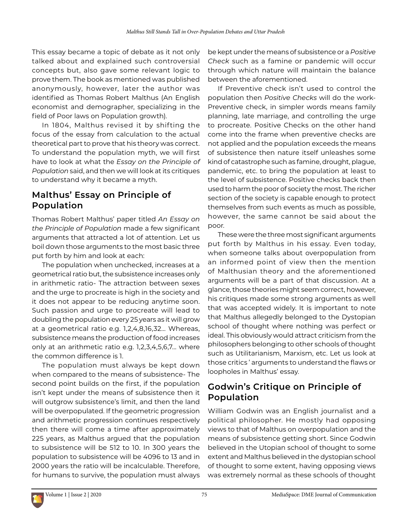This essay became a topic of debate as it not only talked about and explained such controversial concepts but, also gave some relevant logic to prove them. The book as mentioned was published anonymously, however, later the author was identified as Thomas Robert Malthus (An English economist and demographer, specializing in the field of Poor laws on Population growth).

In 1804, Malthus revised it by shifting the focus of the essay from calculation to the actual theoretical part to prove that his theory was correct. To understand the population myth, we will first have to look at what the *Essay on the Principle of Population* said, and then we will look at its critiques to understand why it became a myth.

### **Malthus' Essay on Principle of Population**

Thomas Robert Malthus' paper titled *An Essay on the Principle of Population* made a few significant arguments that attracted a lot of attention. Let us boil down those arguments to the most basic three put forth by him and look at each:

The population when unchecked, increases at a geometrical ratio but, the subsistence increases only in arithmetic ratio- The attraction between sexes and the urge to procreate is high in the society and it does not appear to be reducing anytime soon. Such passion and urge to procreate will lead to doubling the population every 25 years as it will grow at a geometrical ratio e.g. 1,2,4,8,16,32… Whereas, subsistence means the production of food increases only at an arithmetic ratio e.g. 1,2,3,4,5,6,7… where the common difference is 1.

The population must always be kept down when compared to the means of subsistence- The second point builds on the first, if the population isn't kept under the means of subsistence then it will outgrow subsistence's limit, and then the land will be overpopulated. If the geometric progression and arithmetic progression continues respectively then there will come a time after approximately 225 years, as Malthus argued that the population to subsistence will be 512 to 10. In 300 years the population to subsistence will be 4096 to 13 and in 2000 years the ratio will be incalculable. Therefore, for humans to survive, the population must always be kept under the means of subsistence or a *Positive Check* such as a famine or pandemic will occur through which nature will maintain the balance between the aforementioned.

If Preventive check isn't used to control the population then *Positive Checks* will do the work-Preventive check, in simpler words means family planning, late marriage, and controlling the urge to procreate. Positive Checks on the other hand come into the frame when preventive checks are not applied and the population exceeds the means of subsistence then nature itself unleashes some kind of catastrophe such as famine, drought, plague, pandemic, etc. to bring the population at least to the level of subsistence. Positive checks back then used to harm the poor of society the most. The richer section of the society is capable enough to protect themselves from such events as much as possible, however, the same cannot be said about the poor.

These were the three most significant arguments put forth by Malthus in his essay. Even today, when someone talks about overpopulation from an informed point of view then the mention of Malthusian theory and the aforementioned arguments will be a part of that discussion. At a glance, those theories might seem correct, however, his critiques made some strong arguments as well that was accepted widely. It is important to note that Malthus allegedly belonged to the Dystopian school of thought where nothing was perfect or ideal. This obviously would attract criticism from the philosophers belonging to other schools of thought such as Utilitarianism, Marxism, etc. Let us look at those critics ' arguments to understand the flaws or loopholes in Malthus' essay.

## **Godwin's Critique on Principle of Population**

William Godwin was an English journalist and a political philosopher. He mostly had opposing views to that of Malthus on overpopulation and the means of subsistence getting short. Since Godwin believed in the Utopian school of thought to some extent and Malthus believed in the dystopian school of thought to some extent, having opposing views was extremely normal as these schools of thought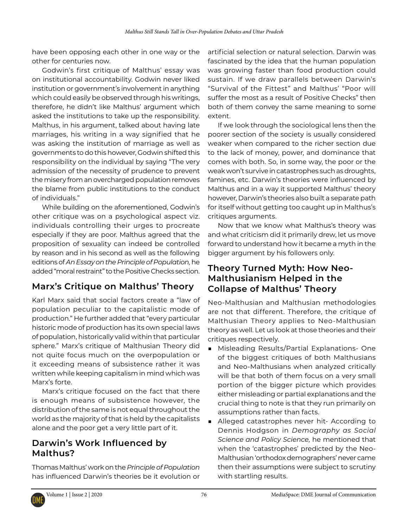have been opposing each other in one way or the other for centuries now.

Godwin's first critique of Malthus' essay was on institutional accountability. Godwin never liked institution or government's involvement in anything which could easily be observed through his writings, therefore, he didn't like Malthus' argument which asked the institutions to take up the responsibility. Malthus, in his argument, talked about having late marriages, his writing in a way signified that he was asking the institution of marriage as well as governments to do this however, Godwin shifted this responsibility on the individual by saying "The very admission of the necessity of prudence to prevent the misery from an overcharged population removes the blame from public institutions to the conduct of individuals."

While building on the aforementioned, Godwin's other critique was on a psychological aspect viz. individuals controlling their urges to procreate especially if they are poor. Malthus agreed that the proposition of sexuality can indeed be controlled by reason and in his second as well as the following editions of *An Essay on the Principle of Population,* he added "moral restraint" to the Positive Checks section.

# **Marx's Critique on Malthus' Theory**

Karl Marx said that social factors create a "law of population peculiar to the capitalistic mode of production." He further added that "every particular historic mode of production has its own special laws of population, historically valid within that particular sphere." Marx's critique of Malthusian Theory did not quite focus much on the overpopulation or it exceeding means of subsistence rather it was written while keeping capitalism in mind which was Marx's forte.

Marx's critique focused on the fact that there is enough means of subsistence however, the distribution of the same is not equal throughout the world as the majority of that is held by the capitalists alone and the poor get a very little part of it.

### **Darwin's Work Influenced by Malthus?**

Thomas Malthus' work on the *Principle of Population* has influenced Darwin's theories be it evolution or artificial selection or natural selection. Darwin was fascinated by the idea that the human population was growing faster than food production could sustain. If we draw parallels between Darwin's "Survival of the Fittest" and Malthus' "Poor will suffer the most as a result of Positive Checks" then both of them convey the same meaning to some extent.

If we look through the sociological lens then the poorer section of the society is usually considered weaker when compared to the richer section due to the lack of money, power, and dominance that comes with both. So, in some way, the poor or the weak won't survive in catastrophes such as droughts, famines, etc. Darwin's theories were influenced by Malthus and in a way it supported Malthus' theory however, Darwin's theories also built a separate path for itself without getting too caught up in Malthus's critiques arguments.

Now that we know what Malthus's theory was and what criticism did it primarily drew, let us move forward to understand how it became a myth in the bigger argument by his followers only.

#### **Theory Turned Myth: How Neo-Malthusianism Helped in the Collapse of Malthus' Theory**

Neo-Malthusian and Malthusian methodologies are not that different. Therefore, the critique of Malthusian Theory applies to Neo-Malthusian theory as well. Let us look at those theories and their critiques respectively.

- Misleading Results/Partial Explanations- One of the biggest critiques of both Malthusians and Neo-Malthusians when analyzed critically will be that both of them focus on a very small portion of the bigger picture which provides either misleading or partial explanations and the crucial thing to note is that they run primarily on assumptions rather than facts.
- Alleged catastrophes never hit- According to Dennis Hodgson in *Demography as Social Science and Policy Science,* he mentioned that when the 'catastrophes' predicted by the Neo-Malthusian 'orthodox demographers' never came then their assumptions were subject to scrutiny with startling results.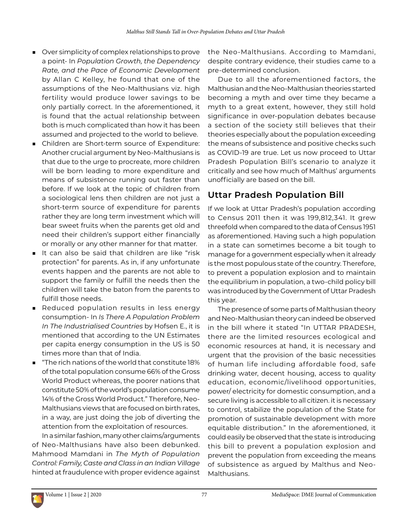- Over simplicity of complex relationships to prove a point- In *Population Growth, the Dependency Rate, and the Pace of Economic Development* by Allan C Kelley, he found that one of the assumptions of the Neo-Malthusians viz. high fertility would produce lower savings to be only partially correct. In the aforementioned, it is found that the actual relationship between both is much complicated than how it has been assumed and projected to the world to believe.
- Children are Short-term source of Expenditure: Another crucial argument by Neo-Malthusians is that due to the urge to procreate, more children will be born leading to more expenditure and means of subsistence running out faster than before. If we look at the topic of children from a sociological lens then children are not just a short-term source of expenditure for parents rather they are long term investment which will bear sweet fruits when the parents get old and need their children's support either financially or morally or any other manner for that matter.
- It can also be said that children are like "risk protection" for parents. As in, if any unfortunate events happen and the parents are not able to support the family or fulfill the needs then the children will take the baton from the parents to fulfill those needs.
- Reduced population results in less energy consumption- In *Is There A Population Problem In The Industrialised Countries* by Hofsen E., it is mentioned that according to the UN Estimates per capita energy consumption in the US is 50 times more than that of India.
- "The rich nations of the world that constitute 18% of the total population consume 66% of the Gross World Product whereas, the poorer nations that constitute 50% of the world's population consume 14% of the Gross World Product." Therefore, Neo-Malthusians views that are focused on birth rates, in a way, are just doing the job of diverting the attention from the exploitation of resources.

In a similar fashion, many other claims/arguments of Neo-Malthusians have also been debunked. Mahmood Mamdani in *The Myth of Population Control: Family, Caste and Class in an Indian Village* hinted at fraudulence with proper evidence against

the Neo-Malthusians. According to Mamdani, despite contrary evidence, their studies came to a pre-determined conclusion.

Due to all the aforementioned factors, the Malthusian and the Neo-Malthusian theories started becoming a myth and over time they became a myth to a great extent, however, they still hold significance in over-population debates because a section of the society still believes that their theories especially about the population exceeding the means of subsistence and positive checks such as COVID-19 are true. Let us now proceed to Uttar Pradesh Population Bill's scenario to analyze it critically and see how much of Malthus' arguments unofficially are based on the bill.

### **Uttar Pradesh Population Bill**

If we look at Uttar Pradesh's population according to Census 2011 then it was 199,812,341. It grew threefold when compared to the data of Census 1951 as aforementioned. Having such a high population in a state can sometimes become a bit tough to manage for a government especially when it already is the most populous state of the country. Therefore, to prevent a population explosion and to maintain the equilibrium in population, a two-child policy bill was introduced by the Government of Uttar Pradesh this year.

The presence of some parts of Malthusian theory and Neo-Malthusian theory can indeed be observed in the bill where it stated "In UTTAR PRADESH, there are the limited resources ecological and economic resources at hand, it is necessary and urgent that the provision of the basic necessities of human life including affordable food, safe drinking water, decent housing, access to quality education, economic/livelihood opportunities, power/ electricity for domestic consumption, and a secure living is accessible to all citizen. it is necessary to control, stabilize the population of the State for promotion of sustainable development with more equitable distribution." In the aforementioned, it could easily be observed that the state is introducing this bill to prevent a population explosion and prevent the population from exceeding the means of subsistence as argued by Malthus and Neo-Malthusians.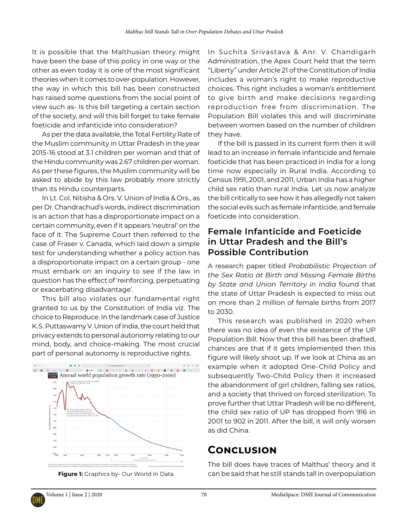It is possible that the Malthusian theory might have been the base of this policy in one way or the other as even today it is one of the most significant theories when it comes to over-population. However, the way in which this bill has been constructed has raised some questions from the social point of view such as- Is this bill targeting a certain section of the society, and will this bill forget to take female foeticide and infanticide into consideration?

As per the data available, the Total Fertility Rate of the Muslim community in Uttar Pradesh in the year 2015-16 stood at 3.1 children per woman and that of the Hindu community was 2.67 children per woman. As per these figures, the Muslim community will be asked to abide by this law probably more strictly than its Hindu counterparts.

In Lt. Col. Nitisha & Ors. V. Union of India & Ors., as per Dr. Chandrachud's words, indirect discrimination is an action that has a disproportionate impact on a certain community, even if it appears 'neutral' on the face of it. The Supreme Court then referred to the case of Fraser v. Canada, which laid down a simple test for understanding whether a policy action has a disproportionate impact on a certain group - one must embark on an inquiry to see if the law in question has the effect of 'reinforcing, perpetuating or exacerbating disadvantage'.

This bill also violates our fundamental right granted to us by the Constitution of India viz. The choice to Reproduce. In the landmark case of Justice K.S. Puttaswamy V. Union of India, the court held that privacy extends to personal autonomy relating to our mind, body, and choice-making. The most crucial part of personal autonomy is reproductive rights.





In Suchita Srivastava & Anr. V. Chandigarh Administration, the Apex Court held that the term "Liberty" under Article 21 of the Constitution of India includes a woman's right to make reproductive choices. This right includes a woman's entitlement to give birth and make decisions regarding reproduction free from discrimination. The Population Bill violates this and will discriminate between women based on the number of children they have.

If the bill is passed in its current form then it will lead to an increase in female infanticide and female foeticide that has been practiced in India for a long time now especially in Rural India. According to Census 1991, 2001, and 2011, Urban India has a higher child sex ratio than rural India. Let us now analyze the bill critically to see how it has allegedly not taken the social evils such as female infanticide, and female foeticide into consideration.

#### **Female Infanticide and Foeticide in Uttar Pradesh and the Bill's Possible Contribution**

A research paper titled *Probabilistic Projection of the Sex Ratio at Birth and Missing Female Births by State and Union Territory in India* found that the state of Uttar Pradesh is expected to miss out on more than 2 million of female births from 2017 to 2030.

This research was published in 2020 when there was no idea of even the existence of the UP Population Bill. Now that this bill has been drafted, chances are that if it gets implemented then this figure will likely shoot up. If we look at China as an example when it adopted One-Child Policy and subsequently Two-Child Policy then it increased the abandonment of girl children, falling sex ratios, and a society that thrived on forced sterilization. To prove further that Uttar Pradesh will be no different, the child sex ratio of UP has dropped from 916 in 2001 to 902 in 2011. After the bill, it will only worsen as did China.

# **Conclusion**

The bill does have traces of Malthus' theory and it **Figure 1:** Graphics by- Our World In Data can be said that he still stands tall in overpopulation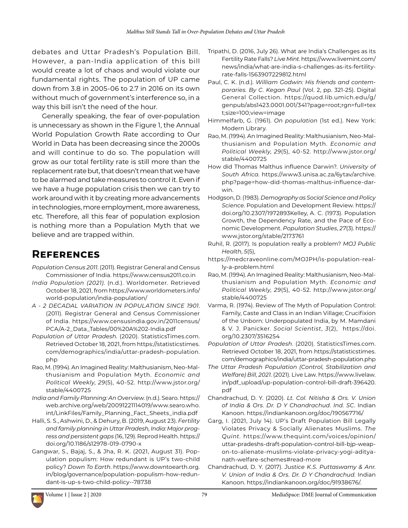debates and Uttar Pradesh's Population Bill. However, a pan-India application of this bill would create a lot of chaos and would violate our fundamental rights. The population of UP came down from 3.8 in 2005-06 to 2.7 in 2016 on its own without much of government's interference so, in a way this bill isn't the need of the hour.

Generally speaking, the fear of over-population is unnecessary as shown in the Figure 1, the Annual World Population Growth Rate according to Our World in Data has been decreasing since the 2000s and will continue to do so. The population will grow as our total fertility rate is still more than the replacement rate but, that doesn't mean that we have to be alarmed and take measures to control it. Even if we have a huge population crisis then we can try to work around with it by creating more advancements in technologies, more employment, more awareness, etc. Therefore, all this fear of population explosion is nothing more than a Population Myth that we believe and are trapped within.

## **References**

- *Population Census 2011*. (2011). Registrar General and Census Commissioner of India. <https://www.census2011.co.in>
- *India Population (2021)*. (n.d.). Worldometer. Retrieved October 18, 2021, from [https://www.worldometers.info/](https://www.worldometers.info/world-population/india-population/) [world-population/india-population/](https://www.worldometers.info/world-population/india-population/)
- *A 2 DECADAL VARIATION IN POPULATION SINCE 1901*. (2011). Registrar General and Census Commissioner of India. [https://www.censusindia.gov.in/2011census/](https://www.censusindia.gov.in/2011census/PCA/A-2_Data_Tables/00%20A%202-India.pdf) [PCA/A-2\\_Data\\_Tables/00%20A%202-India.pdf](https://www.censusindia.gov.in/2011census/PCA/A-2_Data_Tables/00%20A%202-India.pdf)
- *Population of Uttar Pradesh*. (2020). StatisticsTimes.com. Retrieved October 18, 2021, from [https://statisticstimes.](https://statisticstimes.com/demographics/india/uttar-pradesh-population.php) [com/demographics/india/uttar-pradesh-population.](https://statisticstimes.com/demographics/india/uttar-pradesh-population.php) [php](https://statisticstimes.com/demographics/india/uttar-pradesh-population.php)
- Rao, M. (1994). An Imagined Reality: Malthusianism, Neo-Malthusianism and Population Myth. *Economic and Political Weekly*, *29*(5), 40-52. [http://www.jstor.org/](http://www.jstor.org/stable/4400725) [stable/4400725](http://www.jstor.org/stable/4400725)
- *India and Family Planning: An Overview*. (n.d.). Searo. [https://](https://web.archive.org/web/20091221114019/www.searo.who.int/LinkFiles/Family_Planning_Fact_Sheets_india.pdf) [web.archive.org/web/20091221114019/www.searo.who.](https://web.archive.org/web/20091221114019/www.searo.who.int/LinkFiles/Family_Planning_Fact_Sheets_india.pdf) [int/LinkFiles/Family\\_Planning\\_Fact\\_Sheets\\_india.pdf](https://web.archive.org/web/20091221114019/www.searo.who.int/LinkFiles/Family_Planning_Fact_Sheets_india.pdf)
- Halli, S. S., Ashwini, D., & Dehury, B. (2019, August 23). *Fertility and family planning in Uttar Pradesh, India: Major progress and persistent gaps* (16, 129). Reprod Health. [https://](https://doi.org/10.1186/s12978-019-0790-x) [doi.org/10.1186/s12978-019-0790-x](https://doi.org/10.1186/s12978-019-0790-x)
- Gangwar, S., Bajaj, S., & Jha, R. K. (2021, August 31). Population populism: How redundant is UP's two-child policy? *Down To Earth*. [https://www.downtoearth.org.](https://www.downtoearth.org.in/blog/governance/population-populism-how-redundant-is-up-s-two-child-policy--78738) [in/blog/governance/population-populism-how-redun](https://www.downtoearth.org.in/blog/governance/population-populism-how-redundant-is-up-s-two-child-policy--78738)[dant-is-up-s-two-child-policy--78738](https://www.downtoearth.org.in/blog/governance/population-populism-how-redundant-is-up-s-two-child-policy--78738)
- Tripathi, D. (2016, July 26). What are India's Challenges as its Fertility Rate Falls? *Live Mint*. [https://www.livemint.com/](https://www.livemint.com/news/india/what-are-india-s-challenges-as-its-fertility-rate-falls-1563907229812.html) [news/india/what-are-india-s-challenges-as-its-fertility](https://www.livemint.com/news/india/what-are-india-s-challenges-as-its-fertility-rate-falls-1563907229812.html)[rate-falls-1563907229812.html](https://www.livemint.com/news/india/what-are-india-s-challenges-as-its-fertility-rate-falls-1563907229812.html)
- Paul, C. K. (n.d.). *William Godwin: His friends and contemporaries. By C. Kegan Paul* (Vol. 2, pp. 321-25). Digital General Collection. https://quod.lib.umich.edu/g/ genpub/abs1423.0001.001/341?page=root;rgn=full+tex t;size=100;view=image
- Himmelfarb, G. (1961). *On population* (1st ed.). New York: Modern Library.
- Rao, M. (1994). An Imagined Reality: Malthusianism, Neo-Malthusianism and Population Myth. *Economic and Political Weekly*, *29*(5), 40-52. [http://www.jstor.org/](http://www.jstor.org/stable/4400725) [stable/4400725](http://www.jstor.org/stable/4400725)
- How did Thomas Malthus influence Darwin?. *University of South Africa*. [https://www3.unisa.ac.za/6ytav/archive.](https://www3.unisa.ac.za/6ytav/archive.php?page=how-did-thomas-malthus-influence-darwin) [php?page=how-did-thomas-malthus-influence-dar](https://www3.unisa.ac.za/6ytav/archive.php?page=how-did-thomas-malthus-influence-darwin)[win.](https://www3.unisa.ac.za/6ytav/archive.php?page=how-did-thomas-malthus-influence-darwin)
- Hodgson, D. (1983). *Demography as Social Science and Policy Science*. Population and Development Review. https:// doi.org/10.2307/1972893Kelley, A. C. (1973). Population Growth, the Dependency Rate, and the Pace of Economic Development. *Population Studies*, *27*(3). https:// www.jstor.org/stable/2173761
- Ruhil, R. (2017). Is population really a problem? *MOJ Public Health*, *5*(5),
- https://medcraveonline.com/MOJPH/is-population-really-a-problem.html
- Rao, M. (1994). An Imagined Reality: Malthusianism, Neo-Malthusianism and Population Myth. *Economic and Political Weekly*, *29*(5), 40-52. [http://www.jstor.org/](http://www.jstor.org/stable/4400725) [stable/4400725](http://www.jstor.org/stable/4400725)
- Varma, R. (1974). Review of The Myth of Population Control: Family, Caste and Class in an Indian Village; Crucifixion of the Unborn: Underpopulated India, by M. Mamdani & V. J. Panicker. *Social Scientist*, *3*(2), [https://doi.](https://doi.org/10.2307/3516254) [org/10.2307/3516254](https://doi.org/10.2307/3516254)
- *Population of Uttar Pradesh*. (2020). StatisticsTimes.com. Retrieved October 18, 2021, from [https://statisticstimes.](https://statisticstimes.com/demographics/india/uttar-pradesh-population.php) [com/demographics/india/uttar-pradesh-population.php](https://statisticstimes.com/demographics/india/uttar-pradesh-population.php)
- *The Uttar Pradesh Population (Control, Stabilization and Welfare) Bill, 2021*. (2021). Live Law. [https://www.livelaw.](https://www.livelaw.in/pdf_upload/up-population-control-bill-draft-396420.pdf) [in/pdf\\_upload/up-population-control-bill-draft-396420.](https://www.livelaw.in/pdf_upload/up-population-control-bill-draft-396420.pdf) [pdf](https://www.livelaw.in/pdf_upload/up-population-control-bill-draft-396420.pdf)
- Chandrachud, D. Y. (2020). *Lt. Col. Nitisha & Ors. V. Union of India & Ors. Dr. D Y Chandrachud. Ind. SC*. Indian Kanoon. <https://indiankanoon.org/doc/190567716/>
- Garg, I. (2021, July 14). UP's Draft Population Bill Legally Violates Privacy & Socially Alienates Muslims. *The Quint*. https://www.thequint.com/voices/opinion/ uttar-pradeshs-draft-population-control-bill-bjp-weapon-to-alienate-muslims-violate-privacy-yogi-adityanath-welfare-schemes#read-more
- Chandrachud, D. Y. (2017). *Justice K.S. Puttaswamy & Anr. V. Union of India & Ors. Dr. D Y Chandrachud*. Indian Kanoon. [https://indiankanoon.org/doc/91938676/.](https://indiankanoon.org/doc/91938676/)